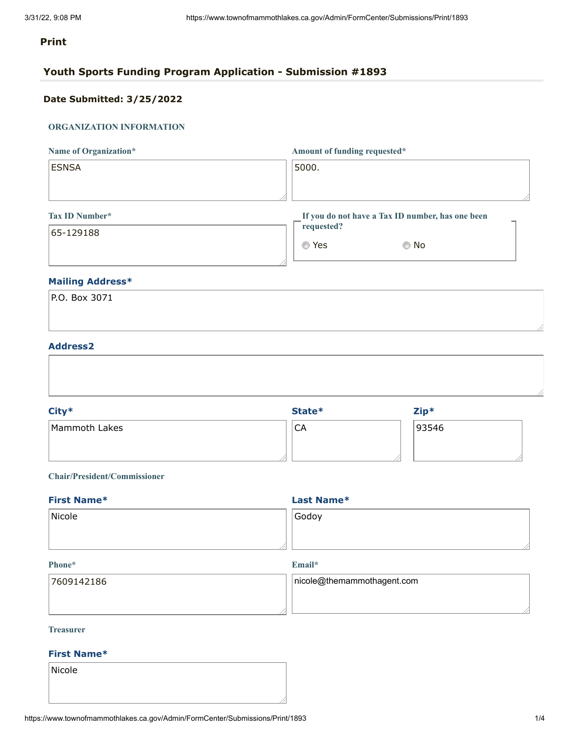# **Print**

# **Youth Sports Funding Program Application - Submission #1893**

# **Date Submitted: 3/25/2022**

# **ORGANIZATION INFORMATION**

| Name of Organization* | Amount of funding requested*                     |
|-----------------------|--------------------------------------------------|
| <b>ESNSA</b>          | 5000.                                            |
|                       |                                                  |
| Tax ID Number*        | If you do not have a Tax ID number, has one been |
| 65-129188             | requested?                                       |
|                       | $\circ$ Yes<br>© No                              |

# **Mailing Address\***

| P.O. Box 3071 |  |  |  |
|---------------|--|--|--|
|               |  |  |  |
|               |  |  |  |

#### **Address2**

| City*         | State* | $Zip*$ |
|---------------|--------|--------|
| Mammoth Lakes | CA     | 93546  |
|               |        |        |

# **Chair/President/Commissioner**

| <b>First Name*</b> | Last Name* |  |
|--------------------|------------|--|
| Nicole             | Godoy      |  |
|                    |            |  |

#### **Phone\***

**Email\***

| 17609142186 | $ $ nicole@themammothagent.com |  |
|-------------|--------------------------------|--|
|             |                                |  |
|             |                                |  |

# **Treasurer**

# **First Name\***

Nicole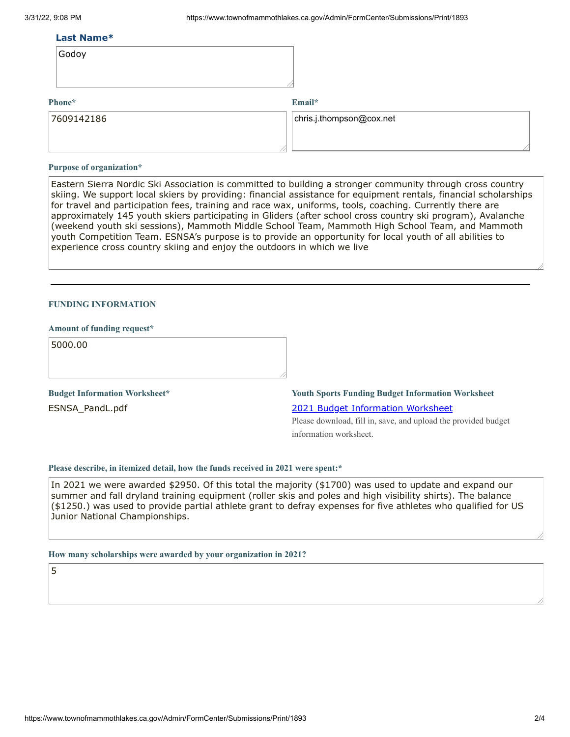#### **Last Name\***

| Godov |
|-------|
|-------|

**Phone\***

#### **Email\***

| 7609142186 | $\alpha$ chris.j.thompson@cox.net |
|------------|-----------------------------------|
|            |                                   |
|            |                                   |

#### **Purpose of organization\***

Eastern Sierra Nordic Ski Association is committed to building a stronger community through cross country skiing. We support local skiers by providing: financial assistance for equipment rentals, financial scholarships for travel and participation fees, training and race wax, uniforms, tools, coaching. Currently there are approximately 145 youth skiers participating in Gliders (after school cross country ski program), Avalanche (weekend youth ski sessions), Mammoth Middle School Team, Mammoth High School Team, and Mammoth youth Competition Team. ESNSA's purpose is to provide an opportunity for local youth of all abilities to experience cross country skiing and enjoy the outdoors in which we live

# **FUNDING INFORMATION**

#### **Amount of funding request\***

5000.00

**Budget Information Worksheet\*** ESNSA\_PandL.pdf

# **Youth Sports Funding Budget Information Worksheet** 2021 Budget [Information](https://www.townofmammothlakes.ca.gov/DocumentCenter/View/11932/2021-Youth-Sports-Funding-Budget-Information-Template) Worksheet

Please download, fill in, save, and upload the provided budget information worksheet.

#### **Please describe, in itemized detail, how the funds received in 2021 were spent:\***

In 2021 we were awarded \$2950. Of this total the majority (\$1700) was used to update and expand our summer and fall dryland training equipment (roller skis and poles and high visibility shirts). The balance (\$1250.) was used to provide partial athlete grant to defray expenses for five athletes who qualified for US Junior National Championships.

### **How many scholarships were awarded by your organization in 2021?**

5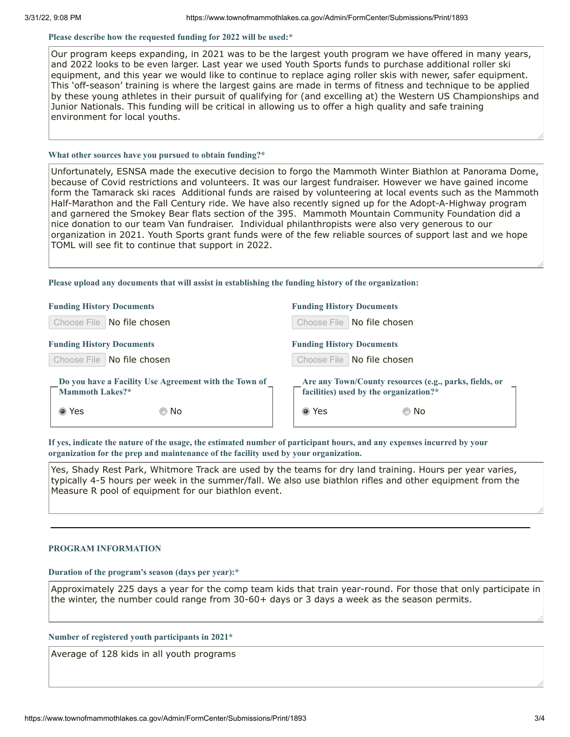#### **Please describe how the requested funding for 2022 will be used:\***

Our program keeps expanding, in 2021 was to be the largest youth program we have offered in many years, and 2022 looks to be even larger. Last year we used Youth Sports funds to purchase additional roller ski equipment, and this year we would like to continue to replace aging roller skis with newer, safer equipment. This 'off-season' training is where the largest gains are made in terms of fitness and technique to be applied by these young athletes in their pursuit of qualifying for (and excelling at) the Western US Championships and Junior Nationals. This funding will be critical in allowing us to offer a high quality and safe training environment for local youths.

#### **What other sources have you pursued to obtain funding?\***

Unfortunately, ESNSA made the executive decision to forgo the Mammoth Winter Biathlon at Panorama Dome, because of Covid restrictions and volunteers. It was our largest fundraiser. However we have gained income form the Tamarack ski races Additional funds are raised by volunteering at local events such as the Mammoth Half-Marathon and the Fall Century ride. We have also recently signed up for the Adopt-A-Highway program and garnered the Smokey Bear flats section of the 395. Mammoth Mountain Community Foundation did a nice donation to our team Van fundraiser. Individual philanthropists were also very generous to our organization in 2021. Youth Sports grant funds were of the few reliable sources of support last and we hope TOML will see fit to continue that support in 2022.

**Please upload any documents that will assist in establishing the funding history of the organization:**

| <b>Funding History Documents</b>                                                | <b>Funding History Documents</b>                                                                 |
|---------------------------------------------------------------------------------|--------------------------------------------------------------------------------------------------|
| Choose File   No file chosen                                                    | Choose File   No file chosen                                                                     |
| <b>Funding History Documents</b>                                                | <b>Funding History Documents</b>                                                                 |
| Choose File   No file chosen                                                    | Choose File   No file chosen                                                                     |
| Do you have a Facility Use Agreement with the Town of<br><b>Mammoth Lakes?*</b> | Are any Town/County resources (e.g., parks, fields, or<br>facilities) used by the organization?* |
| ◉ Yes<br>© No                                                                   | ◉ Yes<br>© No                                                                                    |

If yes, indicate the nature of the usage, the estimated number of participant hours, and any expenses incurred by your **organization for the prep and maintenance of the facility used by your organization.**

Yes, Shady Rest Park, Whitmore Track are used by the teams for dry land training. Hours per year varies, typically 4-5 hours per week in the summer/fall. We also use biathlon rifles and other equipment from the Measure R pool of equipment for our biathlon event.

### **PROGRAM INFORMATION**

**Duration of the program's season (days per year):\***

Approximately 225 days a year for the comp team kids that train year-round. For those that only participate in the winter, the number could range from 30-60+ days or 3 days a week as the season permits.

**Number of registered youth participants in 2021\***

Average of 128 kids in all youth programs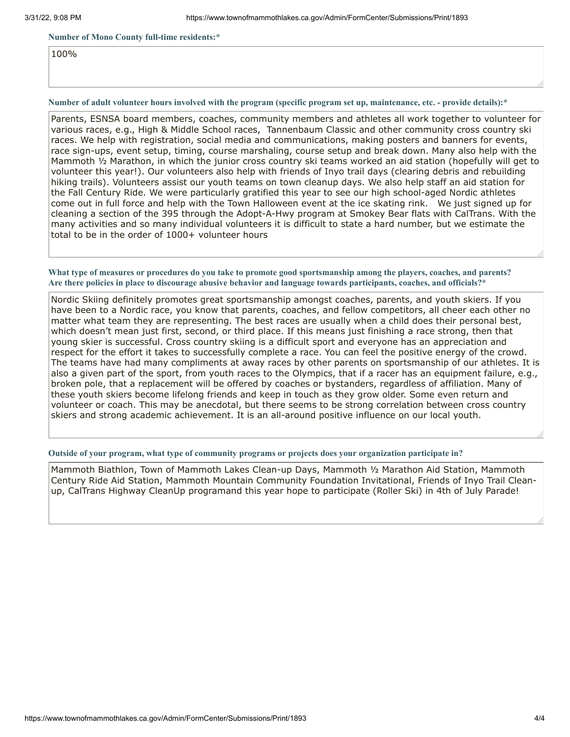#### **Number of Mono County full-time residents:\***

100%

#### Number of adult volunteer hours involved with the program (specific program set up, maintenance, etc. - provide details):\*

Parents, ESNSA board members, coaches, community members and athletes all work together to volunteer for various races, e.g., High & Middle School races, Tannenbaum Classic and other community cross country ski races. We help with registration, social media and communications, making posters and banners for events, race sign-ups, event setup, timing, course marshaling, course setup and break down. Many also help with the Mammoth ½ Marathon, in which the junior cross country ski teams worked an aid station (hopefully will get to volunteer this year!). Our volunteers also help with friends of Inyo trail days (clearing debris and rebuilding hiking trails). Volunteers assist our youth teams on town cleanup days. We also help staff an aid station for the Fall Century Ride. We were particularly gratified this year to see our high school-aged Nordic athletes come out in full force and help with the Town Halloween event at the ice skating rink. We just signed up for cleaning a section of the 395 through the Adopt-A-Hwy program at Smokey Bear flats with CalTrans. With the many activities and so many individual volunteers it is difficult to state a hard number, but we estimate the total to be in the order of 1000+ volunteer hours

What type of measures or procedures do you take to promote good sportsmanship among the players, coaches, and parents? Are there policies in place to discourage abusive behavior and language towards participants, coaches, and officials?\*

Nordic Skiing definitely promotes great sportsmanship amongst coaches, parents, and youth skiers. If you have been to a Nordic race, you know that parents, coaches, and fellow competitors, all cheer each other no matter what team they are representing. The best races are usually when a child does their personal best, which doesn't mean just first, second, or third place. If this means just finishing a race strong, then that young skier is successful. Cross country skiing is a difficult sport and everyone has an appreciation and respect for the effort it takes to successfully complete a race. You can feel the positive energy of the crowd. The teams have had many compliments at away races by other parents on sportsmanship of our athletes. It is also a given part of the sport, from youth races to the Olympics, that if a racer has an equipment failure, e.g., broken pole, that a replacement will be offered by coaches or bystanders, regardless of affiliation. Many of these youth skiers become lifelong friends and keep in touch as they grow older. Some even return and volunteer or coach. This may be anecdotal, but there seems to be strong correlation between cross country skiers and strong academic achievement. It is an all-around positive influence on our local youth.

**Outside of your program, what type of community programs or projects does your organization participate in?**

Mammoth Biathlon, Town of Mammoth Lakes Clean-up Days, Mammoth ½ Marathon Aid Station, Mammoth Century Ride Aid Station, Mammoth Mountain Community Foundation Invitational, Friends of Inyo Trail Cleanup, CalTrans Highway CleanUp programand this year hope to participate (Roller Ski) in 4th of July Parade!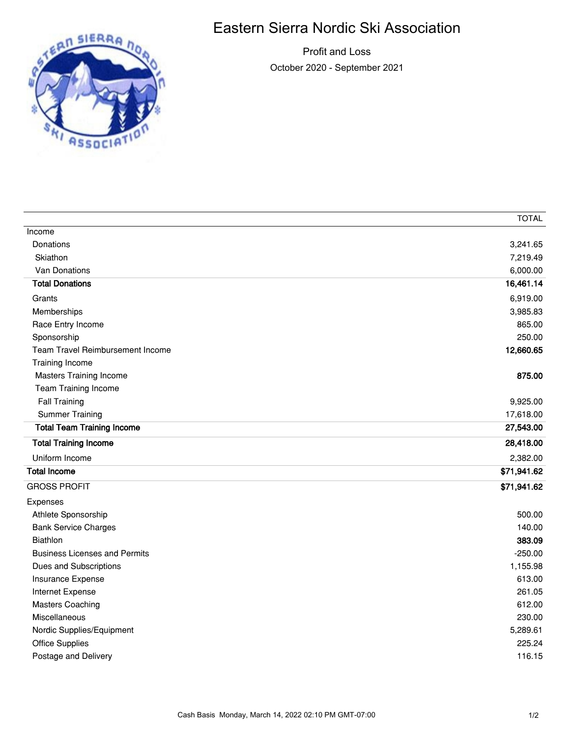# Eastern Sierra Nordic Ski Association



Profit and Loss October 2020 - September 2021

|                                      | <b>TOTAL</b> |
|--------------------------------------|--------------|
| Income                               |              |
| Donations                            | 3,241.65     |
| Skiathon                             | 7,219.49     |
| Van Donations                        | 6,000.00     |
| <b>Total Donations</b>               | 16,461.14    |
| Grants                               | 6,919.00     |
| Memberships                          | 3,985.83     |
| Race Entry Income                    | 865.00       |
| Sponsorship                          | 250.00       |
| Team Travel Reimbursement Income     | 12,660.65    |
| <b>Training Income</b>               |              |
| <b>Masters Training Income</b>       | 875.00       |
| <b>Team Training Income</b>          |              |
| <b>Fall Training</b>                 | 9,925.00     |
| <b>Summer Training</b>               | 17,618.00    |
| <b>Total Team Training Income</b>    | 27,543.00    |
| <b>Total Training Income</b>         | 28,418.00    |
| Uniform Income                       | 2,382.00     |
| <b>Total Income</b>                  | \$71,941.62  |
| <b>GROSS PROFIT</b>                  | \$71,941.62  |
| Expenses                             |              |
| Athlete Sponsorship                  | 500.00       |
| <b>Bank Service Charges</b>          | 140.00       |
| Biathlon                             | 383.09       |
| <b>Business Licenses and Permits</b> | $-250.00$    |
| Dues and Subscriptions               | 1,155.98     |
| Insurance Expense                    | 613.00       |
| Internet Expense                     | 261.05       |
| <b>Masters Coaching</b>              | 612.00       |
| Miscellaneous                        | 230.00       |
| Nordic Supplies/Equipment            | 5,289.61     |
| <b>Office Supplies</b>               | 225.24       |
| Postage and Delivery                 | 116.15       |